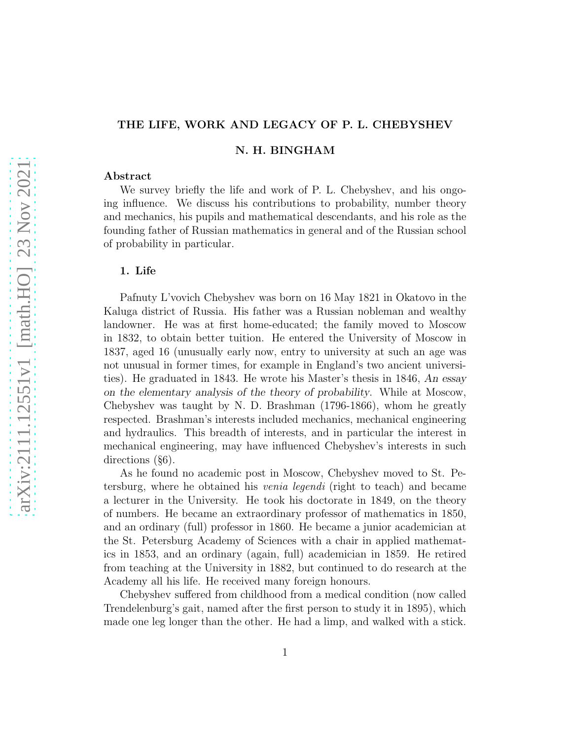# THE LIFE, WORK AND LEGACY OF P. L. CHEBYSHEV

N. H. BINGHAM

#### Abstract

We survey briefly the life and work of P. L. Chebyshev, and his ongoing influence. We discuss his contributions to probability, number theory and mechanics, his pupils and mathematical descendants, and his role as the founding father of Russian mathematics in general and of the Russian school of probability in particular.

### 1. Life

Pafnuty L'vovich Chebyshev was born on 16 May 1821 in Okatovo in the Kaluga district of Russia. His father was a Russian nobleman and wealthy landowner. He was at first home-educated; the family moved to Moscow in 1832, to obtain better tuition. He entered the University of Moscow in 1837, aged 16 (unusually early now, entry to university at such an age was not unusual in former times, for example in England's two ancient universities). He graduated in 1843. He wrote his Master's thesis in 1846, An essay on the elementary analysis of the theory of probability. While at Moscow, Chebyshev was taught by N. D. Brashman (1796-1866), whom he greatly respected. Brashman's interests included mechanics, mechanical engineering and hydraulics. This breadth of interests, and in particular the interest in mechanical engineering, may have influenced Chebyshev's interests in such directions (§6).

As he found no academic post in Moscow, Chebyshev moved to St. Petersburg, where he obtained his venia legendi (right to teach) and became a lecturer in the University. He took his doctorate in 1849, on the theory of numbers. He became an extraordinary professor of mathematics in 1850, and an ordinary (full) professor in 1860. He became a junior academician at the St. Petersburg Academy of Sciences with a chair in applied mathematics in 1853, and an ordinary (again, full) academician in 1859. He retired from teaching at the University in 1882, but continued to do research at the Academy all his life. He received many foreign honours.

Chebyshev suffered from childhood from a medical condition (now called Trendelenburg's gait, named after the first person to study it in 1895), which made one leg longer than the other. He had a limp, and walked with a stick.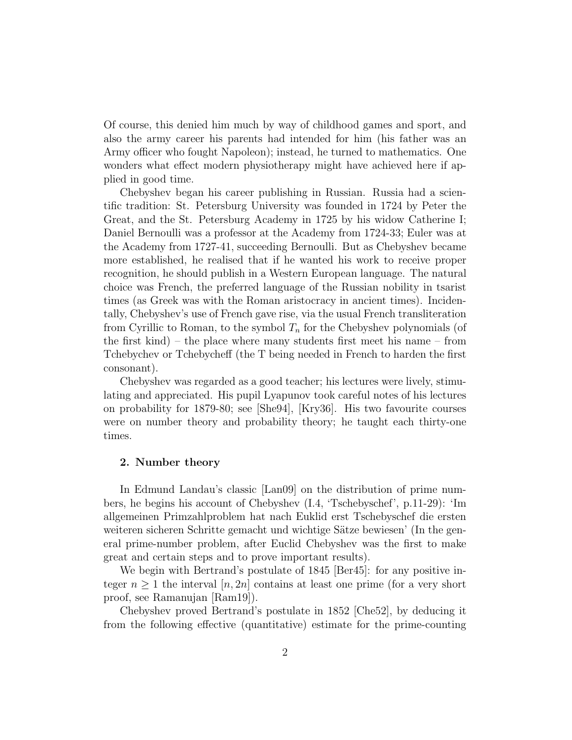Of course, this denied him much by way of childhood games and sport, and also the army career his parents had intended for him (his father was an Army officer who fought Napoleon); instead, he turned to mathematics. One wonders what effect modern physiotherapy might have achieved here if applied in good time.

Chebyshev began his career publishing in Russian. Russia had a scientific tradition: St. Petersburg University was founded in 1724 by Peter the Great, and the St. Petersburg Academy in 1725 by his widow Catherine I; Daniel Bernoulli was a professor at the Academy from 1724-33; Euler was at the Academy from 1727-41, succeeding Bernoulli. But as Chebyshev became more established, he realised that if he wanted his work to receive proper recognition, he should publish in a Western European language. The natural choice was French, the preferred language of the Russian nobility in tsarist times (as Greek was with the Roman aristocracy in ancient times). Incidentally, Chebyshev's use of French gave rise, via the usual French transliteration from Cyrillic to Roman, to the symbol  $T_n$  for the Chebyshev polynomials (of the first kind) – the place where many students first meet his name – from Tchebychev or Tchebycheff (the T being needed in French to harden the first consonant).

Chebyshev was regarded as a good teacher; his lectures were lively, stimulating and appreciated. His pupil Lyapunov took careful notes of his lectures on probability for 1879-80; see [She94], [Kry36]. His two favourite courses were on number theory and probability theory; he taught each thirty-one times.

## 2. Number theory

In Edmund Landau's classic [Lan09] on the distribution of prime numbers, he begins his account of Chebyshev (I.4, 'Tschebyschef', p.11-29): 'Im allgemeinen Primzahlproblem hat nach Euklid erst Tschebyschef die ersten weiteren sicheren Schritte gemacht und wichtige Sätze bewiesen' (In the general prime-number problem, after Euclid Chebyshev was the first to make great and certain steps and to prove important results).

We begin with Bertrand's postulate of 1845 [Ber45]: for any positive integer  $n \geq 1$  the interval  $[n, 2n]$  contains at least one prime (for a very short proof, see Ramanujan [Ram19]).

Chebyshev proved Bertrand's postulate in 1852 [Che52], by deducing it from the following effective (quantitative) estimate for the prime-counting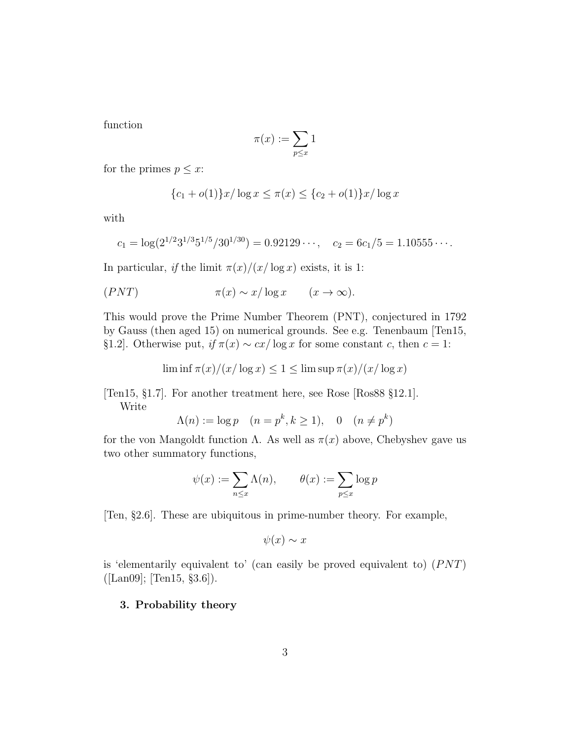function

$$
\pi(x):=\sum_{p\leq x}1
$$

for the primes  $p \leq x$ :

$$
{c_1 + o(1)}x/\log x \le \pi(x) \le {c_2 + o(1)}x/\log x
$$

with

$$
c_1 = \log(2^{1/2}3^{1/3}5^{1/5}/30^{1/30}) = 0.92129\cdots
$$
,  $c_2 = 6c_1/5 = 1.10555\cdots$ .

In particular, if the limit  $\pi(x)/(x/\log x)$  exists, it is 1:

$$
(PNT) \t\t \pi(x) \sim x/\log x \t (x \to \infty).
$$

This would prove the Prime Number Theorem (PNT), conjectured in 1792 by Gauss (then aged 15) on numerical grounds. See e.g. Tenenbaum [Ten15, §1.2]. Otherwise put,  $if \pi(x) \sim cx/\log x$  for some constant c, then  $c = 1$ :

$$
\liminf \pi(x)/(x/\log x) \le 1 \le \limsup \pi(x)/(x/\log x)
$$

[Ten15, §1.7]. For another treatment here, see Rose [Ros88 §12.1]. Write

$$
\Lambda(n) := \log p \quad (n = p^k, k \ge 1), \quad 0 \quad (n \ne p^k)
$$

for the von Mangoldt function  $\Lambda$ . As well as  $\pi(x)$  above, Chebyshev gave us two other summatory functions,

$$
\psi(x) := \sum_{n \le x} \Lambda(n), \qquad \theta(x) := \sum_{p \le x} \log p
$$

[Ten, §2.6]. These are ubiquitous in prime-number theory. For example,

$$
\psi(x) \sim x
$$

is 'elementarily equivalent to' (can easily be proved equivalent to)  $(PNT)$  $([Lan09]; [Ten15, §3.6]).$ 

## 3. Probability theory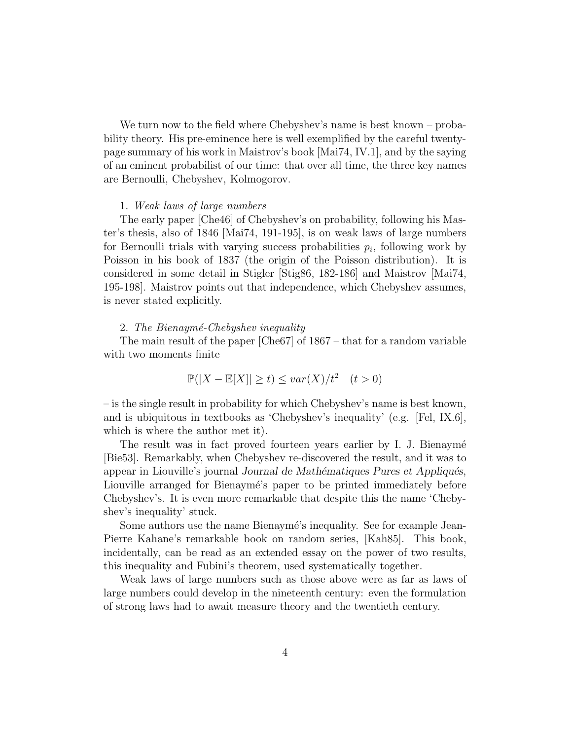We turn now to the field where Chebyshev's name is best known – probability theory. His pre-eminence here is well exemplified by the careful twentypage summary of his work in Maistrov's book [Mai74, IV.1], and by the saying of an eminent probabilist of our time: that over all time, the three key names are Bernoulli, Chebyshev, Kolmogorov.

## 1. Weak laws of large numbers

The early paper [Che46] of Chebyshev's on probability, following his Master's thesis, also of 1846 [Mai74, 191-195], is on weak laws of large numbers for Bernoulli trials with varying success probabilities  $p_i$ , following work by Poisson in his book of 1837 (the origin of the Poisson distribution). It is considered in some detail in Stigler [Stig86, 182-186] and Maistrov [Mai74, 195-198]. Maistrov points out that independence, which Chebyshev assumes, is never stated explicitly.

#### 2. The Bienaymé-Chebyshev inequality

The main result of the paper [Che67] of 1867 – that for a random variable with two moments finite

$$
\mathbb{P}(|X - \mathbb{E}[X]| \ge t) \le \text{var}(X)/t^2 \quad (t > 0)
$$

– is the single result in probability for which Chebyshev's name is best known, and is ubiquitous in textbooks as 'Chebyshev's inequality' (e.g. [Fel, IX.6], which is where the author met it).

The result was in fact proved fourteen years earlier by I. J. Bienaymé [Bie53]. Remarkably, when Chebyshev re-discovered the result, and it was to appear in Liouville's journal Journal de Mathématiques Pures et Appliqués, Liouville arranged for Bienaymé's paper to be printed immediately before Chebyshev's. It is even more remarkable that despite this the name 'Chebyshev's inequality' stuck.

Some authors use the name Bienaymé's inequality. See for example Jean-Pierre Kahane's remarkable book on random series, [Kah85]. This book, incidentally, can be read as an extended essay on the power of two results, this inequality and Fubini's theorem, used systematically together.

Weak laws of large numbers such as those above were as far as laws of large numbers could develop in the nineteenth century: even the formulation of strong laws had to await measure theory and the twentieth century.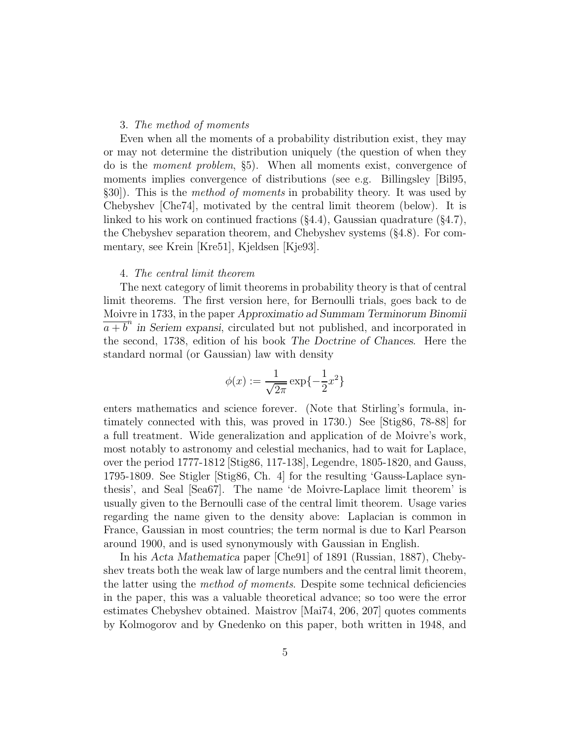### 3. The method of moments

Even when all the moments of a probability distribution exist, they may or may not determine the distribution uniquely (the question of when they do is the moment problem, §5). When all moments exist, convergence of moments implies convergence of distributions (see e.g. Billingsley [Bil95, §30]). This is the method of moments in probability theory. It was used by Chebyshev [Che74], motivated by the central limit theorem (below). It is linked to his work on continued fractions  $(\S 4.4)$ , Gaussian quadrature  $(\S 4.7)$ , the Chebyshev separation theorem, and Chebyshev systems (§4.8). For commentary, see Krein [Kre51], Kjeldsen [Kje93].

#### 4. The central limit theorem

The next category of limit theorems in probability theory is that of central limit theorems. The first version here, for Bernoulli trials, goes back to de Moivre in 1733, in the paper Approximatio ad Summam Terminorum Binomii  $\overline{a+b}^n$  in Seriem expansi, circulated but not published, and incorporated in the second, 1738, edition of his book The Doctrine of Chances. Here the standard normal (or Gaussian) law with density

$$
\phi(x) := \frac{1}{\sqrt{2\pi}} \exp\{-\frac{1}{2}x^2\}
$$

enters mathematics and science forever. (Note that Stirling's formula, intimately connected with this, was proved in 1730.) See [Stig86, 78-88] for a full treatment. Wide generalization and application of de Moivre's work, most notably to astronomy and celestial mechanics, had to wait for Laplace, over the period 1777-1812 [Stig86, 117-138], Legendre, 1805-1820, and Gauss, 1795-1809. See Stigler [Stig86, Ch. 4] for the resulting 'Gauss-Laplace synthesis', and Seal [Sea67]. The name 'de Moivre-Laplace limit theorem' is usually given to the Bernoulli case of the central limit theorem. Usage varies regarding the name given to the density above: Laplacian is common in France, Gaussian in most countries; the term normal is due to Karl Pearson around 1900, and is used synonymously with Gaussian in English.

In his Acta Mathematica paper [Che91] of 1891 (Russian, 1887), Chebyshev treats both the weak law of large numbers and the central limit theorem, the latter using the *method of moments*. Despite some technical deficiencies in the paper, this was a valuable theoretical advance; so too were the error estimates Chebyshev obtained. Maistrov [Mai74, 206, 207] quotes comments by Kolmogorov and by Gnedenko on this paper, both written in 1948, and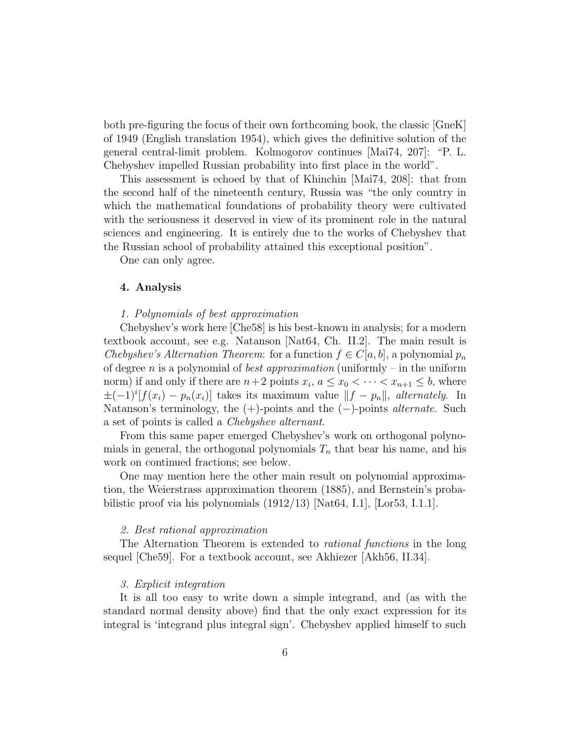both pre-figuring the focus of their own forthcoming book, the classic [GneK] of 1949 (English translation 1954), which gives the definitive solution of the general central-limit problem. Kolmogorov continues [Mai74, 207]: "P. L. Chebyshev impelled Russian probability into first place in the world".

This assessment is echoed by that of Khinchin [Mai74, 208]: that from the second half of the nineteenth century, Russia was "the only country in which the mathematical foundations of probability theory were cultivated with the seriousness it deserved in view of its prominent role in the natural sciences and engineering. It is entirely due to the works of Chebyshev that the Russian school of probability attained this exceptional position".

One can only agree.

## 4. Analysis

### 1. Polynomials of best approximation

Chebyshev's work here [Che58] is his best-known in analysis; for a modern textbook account, see e.g. Natanson [Nat64, Ch. II.2]. The main result is Chebyshev's Alternation Theorem: for a function  $f \in C[a, b]$ , a polynomial  $p_n$ of degree n is a polynomial of *best approximation* (uniformly – in the uniform norm) if and only if there are  $n+2$  points  $x_i$ ,  $a \le x_0 < \cdots < x_{n+1} \le b$ , where  $\pm(-1)^{i}[f(x_i) - p_n(x_i)]$  takes its maximum value  $||f - p_n||$ , alternately. In Natanson's terminology, the  $(+)$ -points and the  $(-)$ -points *alternate*. Such a set of points is called a Chebyshev alternant.

From this same paper emerged Chebyshev's work on orthogonal polynomials in general, the orthogonal polynomials  $T_n$  that bear his name, and his work on continued fractions; see below.

One may mention here the other main result on polynomial approximation, the Weierstrass approximation theorem (1885), and Bernstein's probabilistic proof via his polynomials  $(1912/13)$  [Nat64, I.1], [Lor53, I.1.1].

#### 2. Best rational approximation

The Alternation Theorem is extended to rational functions in the long sequel [Che59]. For a textbook account, see Akhiezer [Akh56, II.34].

#### 3. Explicit integration

It is all too easy to write down a simple integrand, and (as with the standard normal density above) find that the only exact expression for its integral is 'integrand plus integral sign'. Chebyshev applied himself to such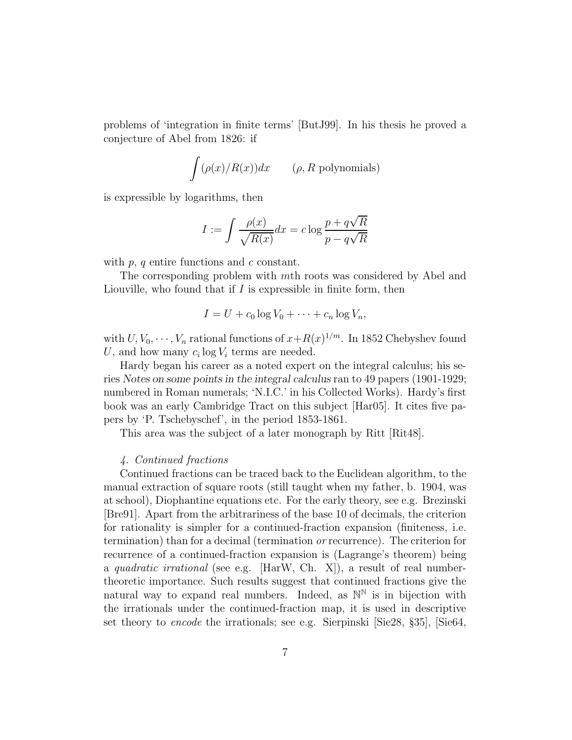problems of 'integration in finite terms' [ButJ99]. In his thesis he proved a conjecture of Abel from 1826: if

$$
\int (\rho(x)/R(x))dx \qquad (\rho, R \text{ polynomials})
$$

is expressible by logarithms, then

$$
I := \int \frac{\rho(x)}{\sqrt{R(x)}} dx = c \log \frac{p + q\sqrt{R}}{p - q\sqrt{R}}
$$

with  $p, q$  entire functions and  $c$  constant.

The corresponding problem with mth roots was considered by Abel and Liouville, who found that if  $I$  is expressible in finite form, then

$$
I = U + c_0 \log V_0 + \cdots + c_n \log V_n,
$$

with  $U, V_0, \dots, V_n$  rational functions of  $x + R(x)^{1/m}$ . In 1852 Chebyshev found U, and how many  $c_i \log V_i$  terms are needed.

Hardy began his career as a noted expert on the integral calculus; his series Notes on some points in the integral calculus ran to 49 papers (1901-1929; numbered in Roman numerals; 'N.I.C.' in his Collected Works). Hardy's first book was an early Cambridge Tract on this subject [Har05]. It cites five papers by 'P. Tschebyschef', in the period 1853-1861.

This area was the subject of a later monograph by Ritt [Rit48].

## 4. Continued fractions

Continued fractions can be traced back to the Euclidean algorithm, to the manual extraction of square roots (still taught when my father, b. 1904, was at school), Diophantine equations etc. For the early theory, see e.g. Brezinski [Bre91]. Apart from the arbitrariness of the base 10 of decimals, the criterion for rationality is simpler for a continued-fraction expansion (finiteness, i.e. termination) than for a decimal (termination or recurrence). The criterion for recurrence of a continued-fraction expansion is (Lagrange's theorem) being a quadratic irrational (see e.g.  $\vert$ HarW, Ch. X $\vert$ ), a result of real numbertheoretic importance. Such results suggest that continued fractions give the natural way to expand real numbers. Indeed, as  $\mathbb{N}^{\mathbb{N}}$  is in bijection with the irrationals under the continued-fraction map, it is used in descriptive set theory to encode the irrationals; see e.g. Sierpinski [Sie28, §35], [Sie64,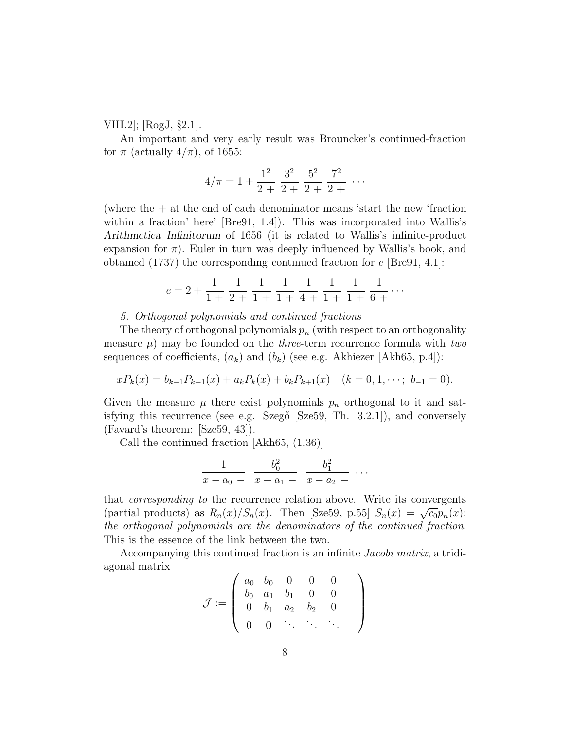VIII.2]; [RogJ, §2.1].

An important and very early result was Brouncker's continued-fraction for  $\pi$  (actually  $4/\pi$ ), of 1655:

$$
4/\pi = 1 + \frac{1^2}{2 + 2} + \frac{3^2}{2 + 2} + \frac{5^2}{2 + 2} + \cdots
$$

(where the + at the end of each denominator means 'start the new 'fraction within a fraction' here' [Bre91, 1.4]). This was incorporated into Wallis's Arithmetica Infinitorum of 1656 (it is related to Wallis's infinite-product expansion for  $\pi$ ). Euler in turn was deeply influenced by Wallis's book, and obtained (1737) the corresponding continued fraction for e [Bre91, 4.1]:

$$
e = 2 + \frac{1}{1+} \frac{1}{2+} \frac{1}{1+} \frac{1}{1+} \frac{1}{4+} \frac{1}{1+} \frac{1}{1+} \frac{1}{6+} \cdots
$$

### 5. Orthogonal polynomials and continued fractions

The theory of orthogonal polynomials  $p_n$  (with respect to an orthogonality measure  $\mu$ ) may be founded on the *three*-term recurrence formula with two sequences of coefficients,  $(a_k)$  and  $(b_k)$  (see e.g. Akhiezer [Akh65, p.4]):

$$
xP_k(x) = b_{k-1}P_{k-1}(x) + a_kP_k(x) + b_kP_{k+1}(x) \quad (k = 0, 1, \dots; b_{-1} = 0).
$$

Given the measure  $\mu$  there exist polynomials  $p_n$  orthogonal to it and satisfying this recurrence (see e.g. Szegő  $[Sze59, Th. 3.2.1]$ ), and conversely (Favard's theorem: [Sze59, 43]).

Call the continued fraction [Akh65, (1.36)]

$$
\frac{1}{x-a_0-\frac{b_0^2}{x-a_1-\frac{b_1^2}{x-a_2-\cdots}}
$$
...

that corresponding to the recurrence relation above. Write its convergents (partial products) as  $R_n(x)/S_n(x)$ . Then [Sze59, p.55]  $S_n(x) = \sqrt{c_0 p_n}(x)$ : the orthogonal polynomials are the denominators of the continued fraction. This is the essence of the link between the two.

Accompanying this continued fraction is an infinite Jacobi matrix, a tridiagonal matrix

$$
\mathcal{J} := \left( \begin{array}{cccc} a_0 & b_0 & 0 & 0 & 0 \\ b_0 & a_1 & b_1 & 0 & 0 \\ 0 & b_1 & a_2 & b_2 & 0 \\ 0 & 0 & \cdot & \cdot & \cdot & \cdot \end{array} \right)
$$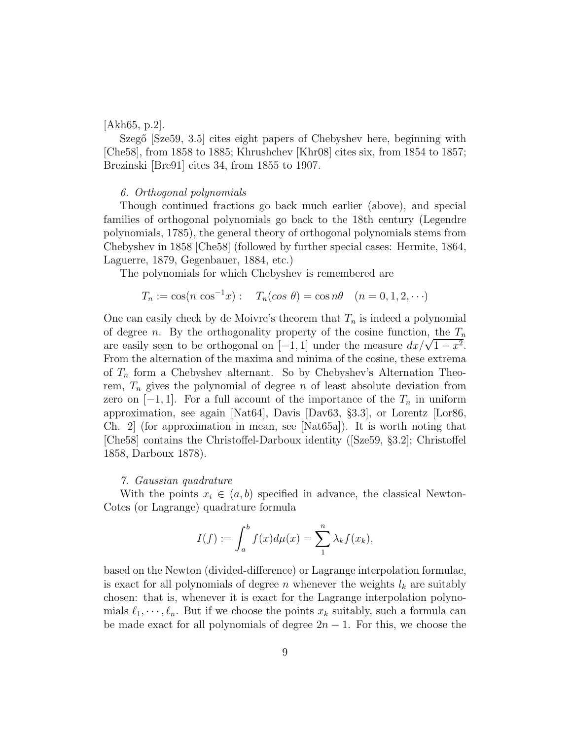## [Akh65, p.2].

Szegő [Sze59, 3.5] cites eight papers of Chebyshev here, beginning with [Che58], from 1858 to 1885; Khrushchev [Khr08] cites six, from 1854 to 1857; Brezinski [Bre91] cites 34, from 1855 to 1907.

## 6. Orthogonal polynomials

Though continued fractions go back much earlier (above), and special families of orthogonal polynomials go back to the 18th century (Legendre polynomials, 1785), the general theory of orthogonal polynomials stems from Chebyshev in 1858 [Che58] (followed by further special cases: Hermite, 1864, Laguerre, 1879, Gegenbauer, 1884, etc.)

The polynomials for which Chebyshev is remembered are

$$
T_n := \cos(n \cos^{-1} x) : T_n(\cos \theta) = \cos n\theta \quad (n = 0, 1, 2, \cdots)
$$

One can easily check by de Moivre's theorem that  $T_n$  is indeed a polynomial of degree n. By the orthogonality property of the cosine function, the  $T_n$ are easily seen to be orthogonal on  $[-1, 1]$  under the measure  $dx/\sqrt{1-x^2}$ . From the alternation of the maxima and minima of the cosine, these extrema of  $T_n$  form a Chebyshev alternant. So by Chebyshev's Alternation Theorem,  $T_n$  gives the polynomial of degree n of least absolute deviation from zero on  $[-1, 1]$ . For a full account of the importance of the  $T_n$  in uniform approximation, see again [Nat64], Davis [Dav63, §3.3], or Lorentz [Lor86, Ch. 2] (for approximation in mean, see [Nat65a]). It is worth noting that [Che58] contains the Christoffel-Darboux identity ([Sze59, §3.2]; Christoffel 1858, Darboux 1878).

#### 7. Gaussian quadrature

With the points  $x_i \in (a, b)$  specified in advance, the classical Newton-Cotes (or Lagrange) quadrature formula

$$
I(f) := \int_a^b f(x) d\mu(x) = \sum_1^n \lambda_k f(x_k),
$$

based on the Newton (divided-difference) or Lagrange interpolation formulae, is exact for all polynomials of degree n whenever the weights  $l_k$  are suitably chosen: that is, whenever it is exact for the Lagrange interpolation polynomials  $\ell_1, \dots, \ell_n$ . But if we choose the points  $x_k$  suitably, such a formula can be made exact for all polynomials of degree  $2n - 1$ . For this, we choose the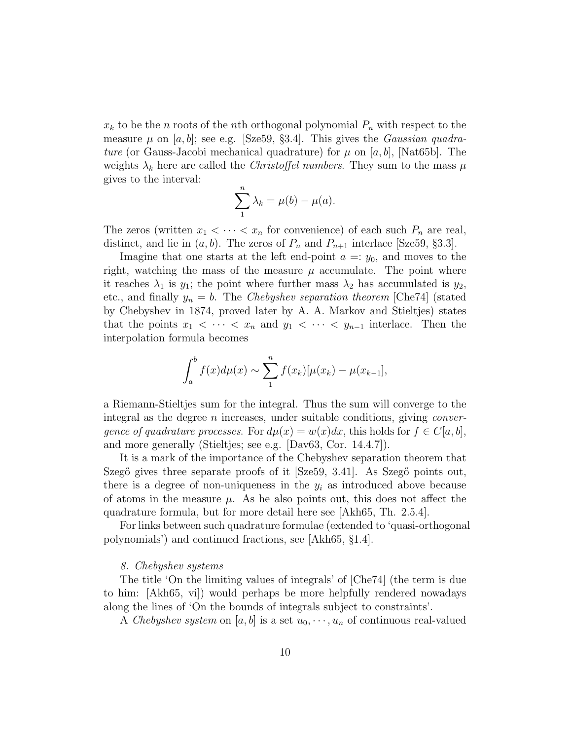$x_k$  to be the n roots of the nth orthogonal polynomial  $P_n$  with respect to the measure  $\mu$  on [a, b]; see e.g. [Sze59, §3.4]. This gives the *Gaussian quadra*ture (or Gauss-Jacobi mechanical quadrature) for  $\mu$  on [a, b], [Nat65b]. The weights  $\lambda_k$  here are called the *Christoffel numbers*. They sum to the mass  $\mu$ gives to the interval:

$$
\sum_{1}^{n} \lambda_k = \mu(b) - \mu(a).
$$

The zeros (written  $x_1 < \cdots < x_n$  for convenience) of each such  $P_n$  are real, distinct, and lie in  $(a, b)$ . The zeros of  $P_n$  and  $P_{n+1}$  interlace [Sze59, §3.3].

Imagine that one starts at the left end-point  $a =: y_0$ , and moves to the right, watching the mass of the measure  $\mu$  accumulate. The point where it reaches  $\lambda_1$  is  $y_1$ ; the point where further mass  $\lambda_2$  has accumulated is  $y_2$ , etc., and finally  $y_n = b$ . The Chebyshev separation theorem [Che74] (stated by Chebyshev in 1874, proved later by A. A. Markov and Stieltjes) states that the points  $x_1 < \cdots < x_n$  and  $y_1 < \cdots < y_{n-1}$  interlace. Then the interpolation formula becomes

$$
\int_{a}^{b} f(x) d\mu(x) \sim \sum_{1}^{n} f(x_{k})[\mu(x_{k}) - \mu(x_{k-1}],
$$

a Riemann-Stieltjes sum for the integral. Thus the sum will converge to the integral as the degree  $n$  increases, under suitable conditions, giving *conver*gence of quadrature processes. For  $d\mu(x) = w(x)dx$ , this holds for  $f \in C[a, b]$ , and more generally (Stieltjes; see e.g. [Dav63, Cor. 14.4.7]).

It is a mark of the importance of the Chebyshev separation theorem that Szegő gives three separate proofs of it [Sze59, 3.41]. As Szegő points out, there is a degree of non-uniqueness in the  $y_i$  as introduced above because of atoms in the measure  $\mu$ . As he also points out, this does not affect the quadrature formula, but for more detail here see [Akh65, Th. 2.5.4].

For links between such quadrature formulae (extended to 'quasi-orthogonal polynomials') and continued fractions, see [Akh65, §1.4].

#### 8. Chebyshev systems

The title 'On the limiting values of integrals' of [Che74] (the term is due to him: [Akh65, vi]) would perhaps be more helpfully rendered nowadays along the lines of 'On the bounds of integrals subject to constraints'.

A Chebyshev system on [a, b] is a set  $u_0, \dots, u_n$  of continuous real-valued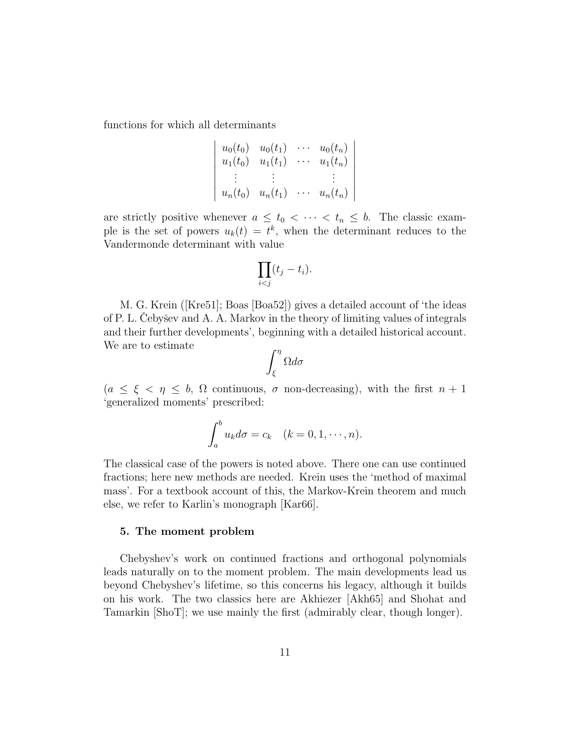functions for which all determinants

$$
\begin{vmatrix} u_0(t_0) & u_0(t_1) & \cdots & u_0(t_n) \\ u_1(t_0) & u_1(t_1) & \cdots & u_1(t_n) \\ \vdots & \vdots & & \vdots \\ u_n(t_0) & u_n(t_1) & \cdots & u_n(t_n) \end{vmatrix}
$$

are strictly positive whenever  $a \leq t_0 < \cdots < t_n \leq b$ . The classic example is the set of powers  $u_k(t) = t^k$ , when the determinant reduces to the Vandermonde determinant with value

$$
\prod_{i
$$

M. G. Krein ([Kre51]; Boas [Boa52]) gives a detailed account of 'the ideas of P. L. Cebyšev and A. A. Markov in the theory of limiting values of integrals and their further developments', beginning with a detailed historical account. We are to estimate

$$
\int_{\xi}^{\eta} \Omega d\sigma
$$

 $(a \leq \xi < \eta \leq b, \Omega$  continuous,  $\sigma$  non-decreasing), with the first  $n+1$ 'generalized moments' prescribed:

$$
\int_a^b u_k d\sigma = c_k \quad (k = 0, 1, \cdots, n).
$$

The classical case of the powers is noted above. There one can use continued fractions; here new methods are needed. Krein uses the 'method of maximal mass'. For a textbook account of this, the Markov-Krein theorem and much else, we refer to Karlin's monograph [Kar66].

#### 5. The moment problem

Chebyshev's work on continued fractions and orthogonal polynomials leads naturally on to the moment problem. The main developments lead us beyond Chebyshev's lifetime, so this concerns his legacy, although it builds on his work. The two classics here are Akhiezer [Akh65] and Shohat and Tamarkin [ShoT]; we use mainly the first (admirably clear, though longer).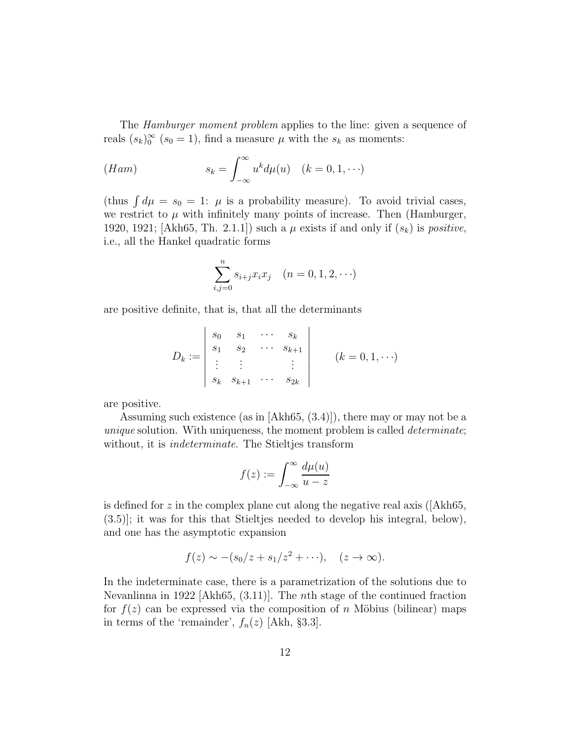The *Hamburger moment problem* applies to the line: given a sequence of reals  $(s_k)_0^{\infty}$   $(s_0 = 1)$ , find a measure  $\mu$  with the  $s_k$  as moments:

(Ham) 
$$
s_k = \int_{-\infty}^{\infty} u^k d\mu(u) \quad (k = 0, 1, \cdots)
$$

(thus  $\int d\mu = s_0 = 1$ :  $\mu$  is a probability measure). To avoid trivial cases, we restrict to  $\mu$  with infinitely many points of increase. Then (Hamburger, 1920, 1921; [Akh65, Th. 2.1.1]) such a  $\mu$  exists if and only if  $(s_k)$  is *positive*, i.e., all the Hankel quadratic forms

$$
\sum_{i,j=0}^{n} s_{i+j} x_i x_j \quad (n = 0, 1, 2, \cdots)
$$

are positive definite, that is, that all the determinants

$$
D_k := \begin{vmatrix} s_0 & s_1 & \cdots & s_k \\ s_1 & s_2 & \cdots & s_{k+1} \\ \vdots & \vdots & & \vdots \\ s_k & s_{k+1} & \cdots & s_{2k} \end{vmatrix} \qquad (k = 0, 1, \cdots)
$$

are positive.

Assuming such existence (as in [Akh65, (3.4)]), there may or may not be a unique solution. With uniqueness, the moment problem is called *determinate*; without, it is *indeterminate*. The Stieltjes transform

$$
f(z) := \int_{-\infty}^{\infty} \frac{d\mu(u)}{u - z}
$$

is defined for z in the complex plane cut along the negative real axis ( $|Akh65$ , (3.5)]; it was for this that Stieltjes needed to develop his integral, below), and one has the asymptotic expansion

$$
f(z) \sim -(s_0/z + s_1/z^2 + \cdots), \quad (z \to \infty).
$$

In the indeterminate case, there is a parametrization of the solutions due to Nevanlinna in 1922 [Akh65, (3.11)]. The nth stage of the continued fraction for  $f(z)$  can be expressed via the composition of n Möbius (bilinear) maps in terms of the 'remainder',  $f_n(z)$  [Akh, §3.3].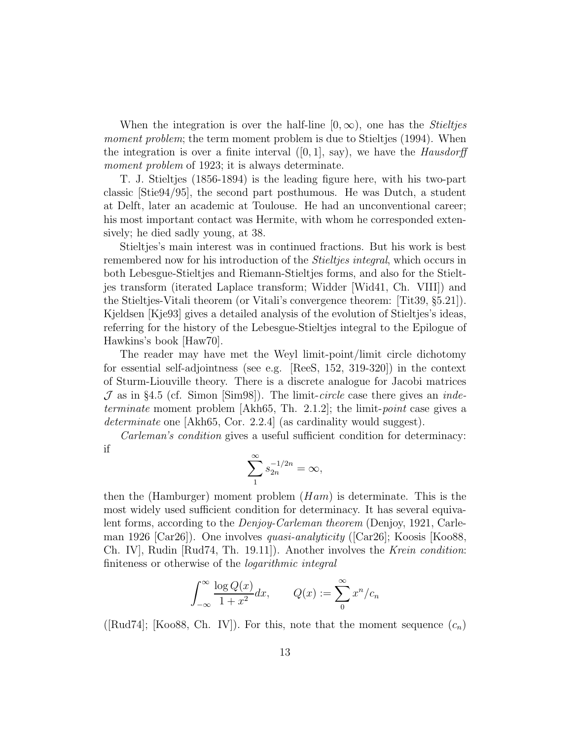When the integration is over the half-line  $[0, \infty)$ , one has the *Stieltjes* moment problem; the term moment problem is due to Stieltjes (1994). When the integration is over a finite interval  $([0, 1], \text{ say})$ , we have the *Hausdorff* moment problem of 1923; it is always determinate.

T. J. Stieltjes (1856-1894) is the leading figure here, with his two-part classic [Stie94/95], the second part posthumous. He was Dutch, a student at Delft, later an academic at Toulouse. He had an unconventional career; his most important contact was Hermite, with whom he corresponded extensively; he died sadly young, at 38.

Stieltjes's main interest was in continued fractions. But his work is best remembered now for his introduction of the *Stieltjes integral*, which occurs in both Lebesgue-Stieltjes and Riemann-Stieltjes forms, and also for the Stieltjes transform (iterated Laplace transform; Widder [Wid41, Ch. VIII]) and the Stieltjes-Vitali theorem (or Vitali's convergence theorem: [Tit39, §5.21]). Kjeldsen [Kje93] gives a detailed analysis of the evolution of Stieltjes's ideas, referring for the history of the Lebesgue-Stieltjes integral to the Epilogue of Hawkins's book [Haw70].

The reader may have met the Weyl limit-point/limit circle dichotomy for essential self-adjointness (see e.g. [ReeS, 152, 319-320]) in the context of Sturm-Liouville theory. There is a discrete analogue for Jacobi matrices  $J$  as in §4.5 (cf. Simon [Sim98]). The limit-circle case there gives an *inde*terminate moment problem [Akh65, Th. 2.1.2]; the limit-point case gives a determinate one [Akh65, Cor. 2.2.4] (as cardinality would suggest).

Carleman's condition gives a useful sufficient condition for determinacy: if

$$
\sum_{1}^{\infty} s_{2n}^{-1/2n} = \infty,
$$

then the (Hamburger) moment problem  $(Ham)$  is determinate. This is the most widely used sufficient condition for determinacy. It has several equivalent forms, according to the Denjoy-Carleman theorem (Denjoy, 1921, Carleman 1926 [Car26]). One involves *quasi-analyticity* ([Car26]; Koosis [Koo88, Ch. IV], Rudin [Rud74, Th. 19.11]). Another involves the Krein condition: finiteness or otherwise of the logarithmic integral

$$
\int_{-\infty}^{\infty} \frac{\log Q(x)}{1 + x^2} dx, \qquad Q(x) := \sum_{n=0}^{\infty} x^n / c_n
$$

([Rud74]; [Koo88, Ch. IV]). For this, note that the moment sequence  $(c_n)$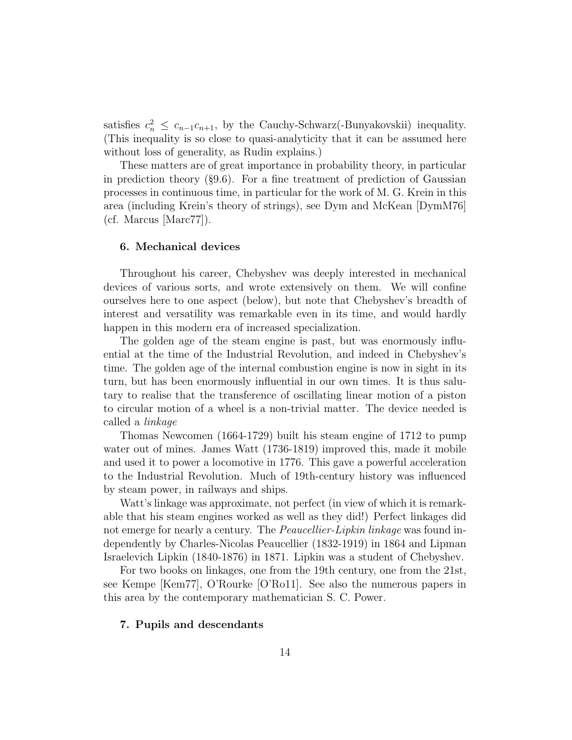satisfies  $c_n^2 \leq c_{n-1}c_{n+1}$ , by the Cauchy-Schwarz(-Bunyakovskii) inequality. (This inequality is so close to quasi-analyticity that it can be assumed here without loss of generality, as Rudin explains.)

These matters are of great importance in probability theory, in particular in prediction theory  $(\S 9.6)$ . For a fine treatment of prediction of Gaussian processes in continuous time, in particular for the work of M. G. Krein in this area (including Krein's theory of strings), see Dym and McKean [DymM76]  $(cf. Marcus [Marc77]).$ 

### 6. Mechanical devices

Throughout his career, Chebyshev was deeply interested in mechanical devices of various sorts, and wrote extensively on them. We will confine ourselves here to one aspect (below), but note that Chebyshev's breadth of interest and versatility was remarkable even in its time, and would hardly happen in this modern era of increased specialization.

The golden age of the steam engine is past, but was enormously influential at the time of the Industrial Revolution, and indeed in Chebyshev's time. The golden age of the internal combustion engine is now in sight in its turn, but has been enormously influential in our own times. It is thus salutary to realise that the transference of oscillating linear motion of a piston to circular motion of a wheel is a non-trivial matter. The device needed is called a linkage

Thomas Newcomen (1664-1729) built his steam engine of 1712 to pump water out of mines. James Watt (1736-1819) improved this, made it mobile and used it to power a locomotive in 1776. This gave a powerful acceleration to the Industrial Revolution. Much of 19th-century history was influenced by steam power, in railways and ships.

Watt's linkage was approximate, not perfect (in view of which it is remarkable that his steam engines worked as well as they did!) Perfect linkages did not emerge for nearly a century. The *Peaucellier-Lipkin linkage* was found independently by Charles-Nicolas Peaucellier (1832-1919) in 1864 and Lipman Israelevich Lipkin (1840-1876) in 1871. Lipkin was a student of Chebyshev.

For two books on linkages, one from the 19th century, one from the 21st, see Kempe [Kem77], O'Rourke [O'Ro11]. See also the numerous papers in this area by the contemporary mathematician S. C. Power.

## 7. Pupils and descendants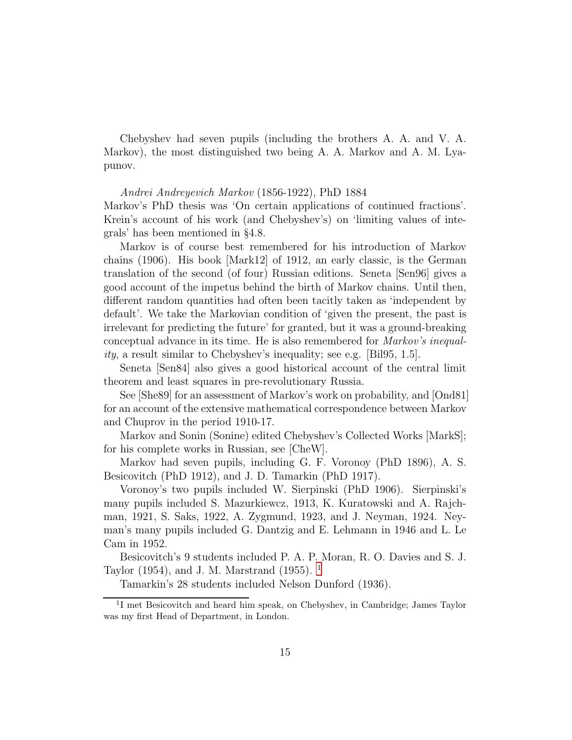Chebyshev had seven pupils (including the brothers A. A. and V. A. Markov), the most distinguished two being A. A. Markov and A. M. Lyapunov.

### Andrei Andreyevich Markov (1856-1922), PhD 1884

Markov's PhD thesis was 'On certain applications of continued fractions'. Krein's account of his work (and Chebyshev's) on 'limiting values of integrals' has been mentioned in §4.8.

Markov is of course best remembered for his introduction of Markov chains (1906). His book [Mark12] of 1912, an early classic, is the German translation of the second (of four) Russian editions. Seneta [Sen96] gives a good account of the impetus behind the birth of Markov chains. Until then, different random quantities had often been tacitly taken as 'independent by default'. We take the Markovian condition of 'given the present, the past is irrelevant for predicting the future' for granted, but it was a ground-breaking conceptual advance in its time. He is also remembered for Markov's inequality, a result similar to Chebyshev's inequality; see e.g. [Bil95, 1.5].

Seneta [Sen84] also gives a good historical account of the central limit theorem and least squares in pre-revolutionary Russia.

See [She89] for an assessment of Markov's work on probability, and [Ond81] for an account of the extensive mathematical correspondence between Markov and Chuprov in the period 1910-17.

Markov and Sonin (Sonine) edited Chebyshev's Collected Works [MarkS]; for his complete works in Russian, see [CheW].

Markov had seven pupils, including G. F. Voronoy (PhD 1896), A. S. Besicovitch (PhD 1912), and J. D. Tamarkin (PhD 1917).

Voronoy's two pupils included W. Sierpinski (PhD 1906). Sierpinski's many pupils included S. Mazurkiewcz, 1913, K. Kuratowski and A. Rajchman, 1921, S. Saks, 1922, A. Zygmund, 1923, and J. Neyman, 1924. Neyman's many pupils included G. Dantzig and E. Lehmann in 1946 and L. Le Cam in 1952.

Besicovitch's 9 students included P. A. P. Moran, R. O. Davies and S. J. Taylor (1954), and J. M. Marstrand (1955). [1](#page-14-0)

Tamarkin's 28 students included Nelson Dunford (1936).

<span id="page-14-0"></span><sup>&</sup>lt;sup>1</sup>I met Besicovitch and heard him speak, on Chebyshev, in Cambridge; James Taylor was my first Head of Department, in London.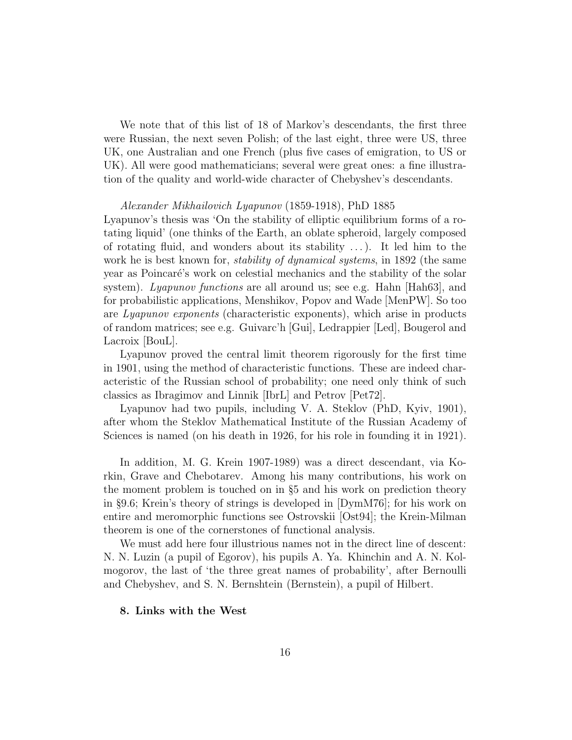We note that of this list of 18 of Markov's descendants, the first three were Russian, the next seven Polish; of the last eight, three were US, three UK, one Australian and one French (plus five cases of emigration, to US or UK). All were good mathematicians; several were great ones: a fine illustration of the quality and world-wide character of Chebyshev's descendants.

#### Alexander Mikhailovich Lyapunov (1859-1918), PhD 1885

Lyapunov's thesis was 'On the stability of elliptic equilibrium forms of a rotating liquid' (one thinks of the Earth, an oblate spheroid, largely composed of rotating fluid, and wonders about its stability  $\dots$ ). It led him to the work he is best known for, *stability of dynamical systems*, in 1892 (the same year as Poincar´e's work on celestial mechanics and the stability of the solar system). Lyapunov functions are all around us; see e.g. Hahn [Hah63], and for probabilistic applications, Menshikov, Popov and Wade [MenPW]. So too are Lyapunov exponents (characteristic exponents), which arise in products of random matrices; see e.g. Guivarc'h [Gui], Ledrappier [Led], Bougerol and Lacroix [BouL].

Lyapunov proved the central limit theorem rigorously for the first time in 1901, using the method of characteristic functions. These are indeed characteristic of the Russian school of probability; one need only think of such classics as Ibragimov and Linnik [IbrL] and Petrov [Pet72].

Lyapunov had two pupils, including V. A. Steklov (PhD, Kyiv, 1901), after whom the Steklov Mathematical Institute of the Russian Academy of Sciences is named (on his death in 1926, for his role in founding it in 1921).

In addition, M. G. Krein 1907-1989) was a direct descendant, via Korkin, Grave and Chebotarev. Among his many contributions, his work on the moment problem is touched on in §5 and his work on prediction theory in §9.6; Krein's theory of strings is developed in [DymM76]; for his work on entire and meromorphic functions see Ostrovskii [Ost94]; the Krein-Milman theorem is one of the cornerstones of functional analysis.

We must add here four illustrious names not in the direct line of descent: N. N. Luzin (a pupil of Egorov), his pupils A. Ya. Khinchin and A. N. Kolmogorov, the last of 'the three great names of probability', after Bernoulli and Chebyshev, and S. N. Bernshtein (Bernstein), a pupil of Hilbert.

## 8. Links with the West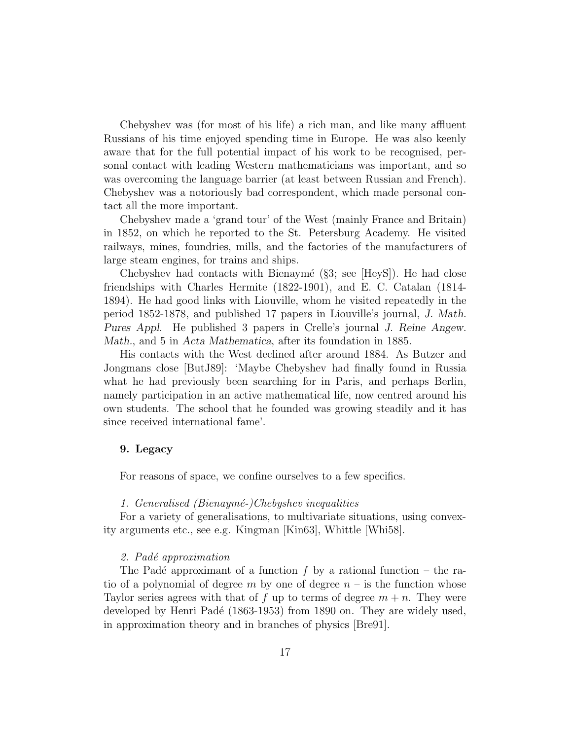Chebyshev was (for most of his life) a rich man, and like many affluent Russians of his time enjoyed spending time in Europe. He was also keenly aware that for the full potential impact of his work to be recognised, personal contact with leading Western mathematicians was important, and so was overcoming the language barrier (at least between Russian and French). Chebyshev was a notoriously bad correspondent, which made personal contact all the more important.

Chebyshev made a 'grand tour' of the West (mainly France and Britain) in 1852, on which he reported to the St. Petersburg Academy. He visited railways, mines, foundries, mills, and the factories of the manufacturers of large steam engines, for trains and ships.

Chebyshev had contacts with Bienaymé  $(\S 3; \text{ see } | \text{HeyS}|)$ . He had close friendships with Charles Hermite (1822-1901), and E. C. Catalan (1814- 1894). He had good links with Liouville, whom he visited repeatedly in the period 1852-1878, and published 17 papers in Liouville's journal, J. Math. Pures Appl. He published 3 papers in Crelle's journal J. Reine Angew. Math., and 5 in Acta Mathematica, after its foundation in 1885.

His contacts with the West declined after around 1884. As Butzer and Jongmans close [ButJ89]: 'Maybe Chebyshev had finally found in Russia what he had previously been searching for in Paris, and perhaps Berlin, namely participation in an active mathematical life, now centred around his own students. The school that he founded was growing steadily and it has since received international fame'.

## 9. Legacy

For reasons of space, we confine ourselves to a few specifics.

## 1. Generalised (Bienaymé-)Chebyshev inequalities

For a variety of generalisations, to multivariate situations, using convexity arguments etc., see e.g. Kingman [Kin63], Whittle [Whi58].

## 2. Padé approximation

The Padé approximant of a function f by a rational function – the ratio of a polynomial of degree m by one of degree  $n - i$  is the function whose Taylor series agrees with that of f up to terms of degree  $m + n$ . They were developed by Henri Padé (1863-1953) from 1890 on. They are widely used, in approximation theory and in branches of physics [Bre91].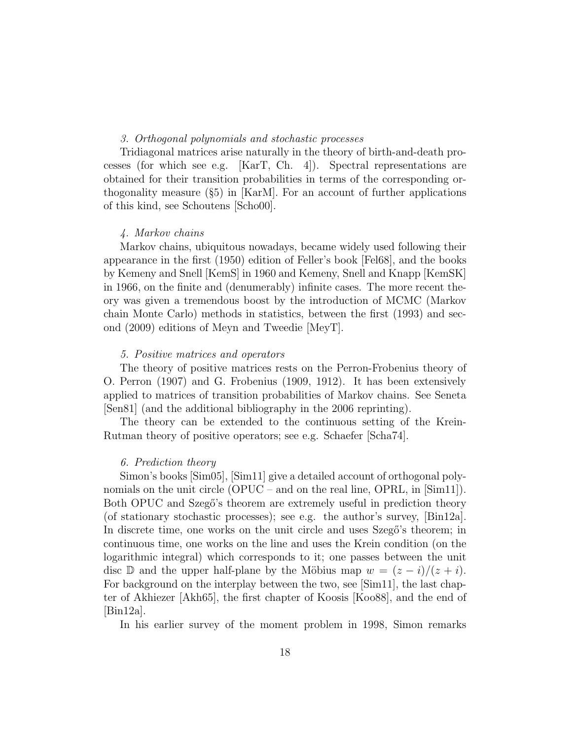# 3. Orthogonal polynomials and stochastic processes

Tridiagonal matrices arise naturally in the theory of birth-and-death processes (for which see e.g.  $[KarT, Ch. 4]$ ). Spectral representations are obtained for their transition probabilities in terms of the corresponding orthogonality measure (§5) in [KarM]. For an account of further applications of this kind, see Schoutens [Scho00].

## 4. Markov chains

Markov chains, ubiquitous nowadays, became widely used following their appearance in the first (1950) edition of Feller's book [Fel68], and the books by Kemeny and Snell [KemS] in 1960 and Kemeny, Snell and Knapp [KemSK] in 1966, on the finite and (denumerably) infinite cases. The more recent theory was given a tremendous boost by the introduction of MCMC (Markov chain Monte Carlo) methods in statistics, between the first (1993) and second (2009) editions of Meyn and Tweedie [MeyT].

## 5. Positive matrices and operators

The theory of positive matrices rests on the Perron-Frobenius theory of O. Perron (1907) and G. Frobenius (1909, 1912). It has been extensively applied to matrices of transition probabilities of Markov chains. See Seneta [Sen81] (and the additional bibliography in the 2006 reprinting).

The theory can be extended to the continuous setting of the Krein-Rutman theory of positive operators; see e.g. Schaefer [Scha74].

### 6. Prediction theory

Simon's books [Sim05], [Sim11] give a detailed account of orthogonal polynomials on the unit circle  $(OPUC - and$  on the real line,  $OPRL$ , in  $[\text{Sim11}]$ . Both OPUC and Szegő's theorem are extremely useful in prediction theory (of stationary stochastic processes); see e.g. the author's survey, [Bin12a]. In discrete time, one works on the unit circle and uses Szegő's theorem; in continuous time, one works on the line and uses the Krein condition (on the logarithmic integral) which corresponds to it; one passes between the unit disc D and the upper half-plane by the Möbius map  $w = (z - i)/(z + i)$ . For background on the interplay between the two, see [Sim11], the last chapter of Akhiezer [Akh65], the first chapter of Koosis [Koo88], and the end of [Bin12a].

In his earlier survey of the moment problem in 1998, Simon remarks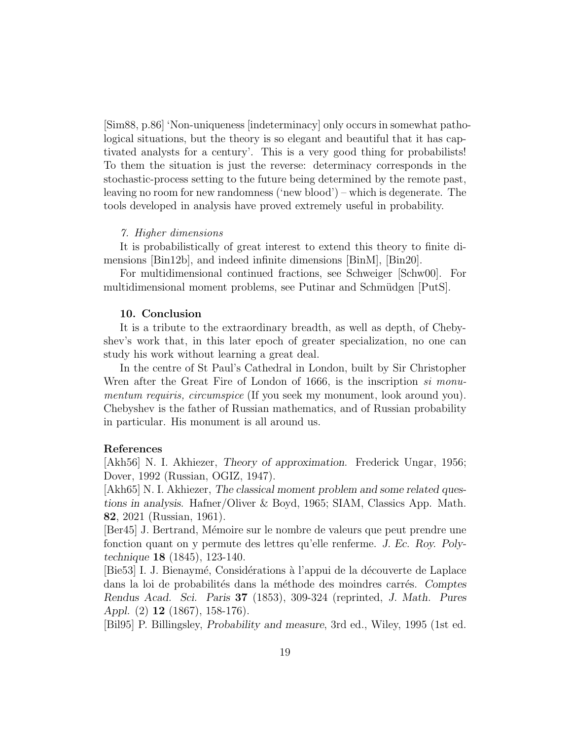[Sim88, p.86] 'Non-uniqueness [indeterminacy] only occurs in somewhat pathological situations, but the theory is so elegant and beautiful that it has captivated analysts for a century'. This is a very good thing for probabilists! To them the situation is just the reverse: determinacy corresponds in the stochastic-process setting to the future being determined by the remote past, leaving no room for new randomness ('new blood') – which is degenerate. The tools developed in analysis have proved extremely useful in probability.

### 7. Higher dimensions

It is probabilistically of great interest to extend this theory to finite dimensions [Bin12b], and indeed infinite dimensions [BinM], [Bin20].

For multidimensional continued fractions, see Schweiger [Schw00]. For multidimensional moment problems, see Putinar and Schmüdgen [PutS].

### 10. Conclusion

It is a tribute to the extraordinary breadth, as well as depth, of Chebyshev's work that, in this later epoch of greater specialization, no one can study his work without learning a great deal.

In the centre of St Paul's Cathedral in London, built by Sir Christopher Wren after the Great Fire of London of 1666, is the inscription *si monu*mentum requiris, circumspice (If you seek my monument, look around you). Chebyshev is the father of Russian mathematics, and of Russian probability in particular. His monument is all around us.

## References

[Akh56] N. I. Akhiezer, Theory of approximation. Frederick Ungar, 1956; Dover, 1992 (Russian, OGIZ, 1947).

[Akh65] N. I. Akhiezer, The classical moment problem and some related questions in analysis. Hafner/Oliver & Boyd, 1965; SIAM, Classics App. Math. 82, 2021 (Russian, 1961).

[Ber45] J. Bertrand, Mémoire sur le nombre de valeurs que peut prendre une fonction quant on y permute des lettres qu'elle renferme. J. Ec. Roy. Polytechnique 18 (1845), 123-140.

[Bie53] I. J. Bienaymé, Considérations à l'appui de la découverte de Laplace dans la loi de probabilités dans la méthode des moindres carrés. Comptes Rendus Acad. Sci. Paris 37 (1853), 309-324 (reprinted, J. Math. Pures Appl. (2) 12 (1867), 158-176).

[Bil95] P. Billingsley, Probability and measure, 3rd ed., Wiley, 1995 (1st ed.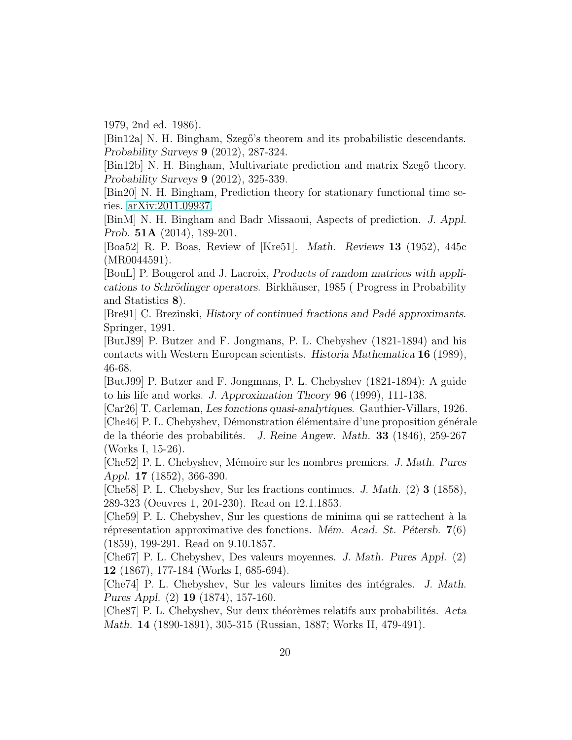1979, 2nd ed. 1986).

[Bin12a] N. H. Bingham, Szegő's theorem and its probabilistic descendants. Probability Surveys 9 (2012), 287-324.

[Bin12b] N. H. Bingham, Multivariate prediction and matrix Szegő theory. Probability Surveys 9 (2012), 325-339.

[Bin20] N. H. Bingham, Prediction theory for stationary functional time series. [arXiv:2011.09937.](http://arxiv.org/abs/2011.09937)

[BinM] N. H. Bingham and Badr Missaoui, Aspects of prediction. J. Appl. Prob. 51A (2014), 189-201.

[Boa52] R. P. Boas, Review of [Kre51]. Math. Reviews 13 (1952), 445c (MR0044591).

[BouL] P. Bougerol and J. Lacroix, Products of random matrices with applications to Schrödinger operators. Birkhäuser, 1985 (Progress in Probability and Statistics 8).

[Bre91] C. Brezinski, History of continued fractions and Padé approximants. Springer, 1991.

[ButJ89] P. Butzer and F. Jongmans, P. L. Chebyshev (1821-1894) and his contacts with Western European scientists. Historia Mathematica 16 (1989), 46-68.

[ButJ99] P. Butzer and F. Jongmans, P. L. Chebyshev (1821-1894): A guide to his life and works. J. Approximation Theory 96 (1999), 111-138.

[Car26] T. Carleman, Les fonctions quasi-analytiques. Gauthier-Villars, 1926.

[Che46] P. L. Chebyshev, Démonstration élémentaire d'une proposition générale de la théorie des probabilités. J. Reine Angew. Math. 33 (1846), 259-267 (Works I, 15-26).

[Che52] P. L. Chebyshev, M´emoire sur les nombres premiers. J. Math. Pures Appl. 17 (1852), 366-390.

[Che58] P. L. Chebyshev, Sur les fractions continues. J. Math. (2) 3 (1858), 289-323 (Oeuvres 1, 201-230). Read on 12.1.1853.

[Che59] P. L. Chebyshev, Sur les questions de minima qui se rattechent `a la répresentation approximative des fonctions. Mém. Acad. St. Pétersb.  $7(6)$ (1859), 199-291. Read on 9.10.1857.

[Che67] P. L. Chebyshev, Des valeurs moyennes. J. Math. Pures Appl. (2) 12 (1867), 177-184 (Works I, 685-694).

[Che74] P. L. Chebyshev, Sur les valeurs limites des intégrales. J. Math. Pures Appl. (2) 19 (1874), 157-160.

[Che87] P. L. Chebyshev, Sur deux théorèmes relatifs aux probabilités. Acta Math. 14 (1890-1891), 305-315 (Russian, 1887; Works II, 479-491).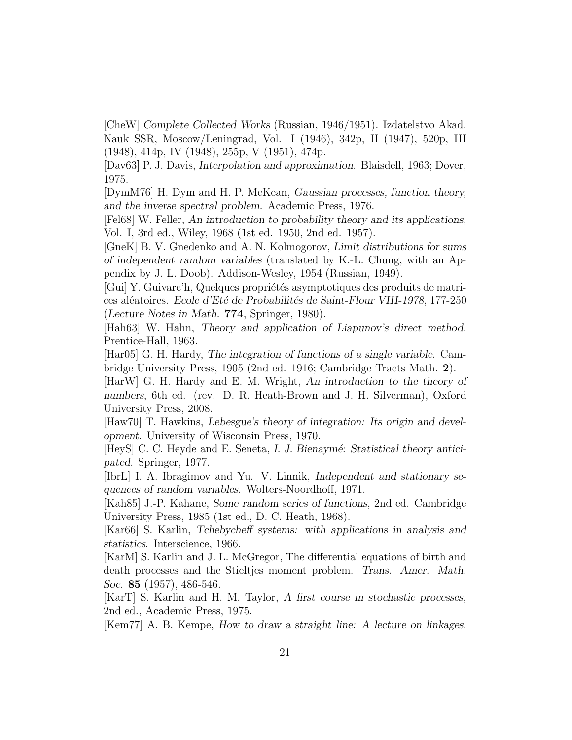[CheW] Complete Collected Works (Russian, 1946/1951). Izdatelstvo Akad. Nauk SSR, Moscow/Leningrad, Vol. I (1946), 342p, II (1947), 520p, III (1948), 414p, IV (1948), 255p, V (1951), 474p.

[Dav63] P. J. Davis, Interpolation and approximation. Blaisdell, 1963; Dover, 1975.

[DymM76] H. Dym and H. P. McKean, Gaussian processes, function theory, and the inverse spectral problem. Academic Press, 1976.

[Fel68] W. Feller, An introduction to probability theory and its applications, Vol. I, 3rd ed., Wiley, 1968 (1st ed. 1950, 2nd ed. 1957).

[GneK] B. V. Gnedenko and A. N. Kolmogorov, Limit distributions for sums of independent random variables (translated by K.-L. Chung, with an Appendix by J. L. Doob). Addison-Wesley, 1954 (Russian, 1949).

[Gui] Y. Guivarc'h, Quelques propriétés asymptotiques des produits de matrices aléatoires. Ecole d'Eté de Probabilités de Saint-Flour VIII-1978, 177-250 (Lecture Notes in Math. 774, Springer, 1980).

[Hah63] W. Hahn, Theory and application of Liapunov's direct method. Prentice-Hall, 1963.

[Har05] G. H. Hardy, The integration of functions of a single variable. Cambridge University Press, 1905 (2nd ed. 1916; Cambridge Tracts Math. 2).

[HarW] G. H. Hardy and E. M. Wright, An introduction to the theory of numbers, 6th ed. (rev. D. R. Heath-Brown and J. H. Silverman), Oxford University Press, 2008.

[Haw70] T. Hawkins, Lebesgue's theory of integration: Its origin and development. University of Wisconsin Press, 1970.

[HeyS] C. C. Heyde and E. Seneta, I. J. Bienaymé: Statistical theory antici-pated. Springer, 1977.

[IbrL] I. A. Ibragimov and Yu. V. Linnik, Independent and stationary sequences of random variables. Wolters-Noordhoff, 1971.

[Kah85] J.-P. Kahane, Some random series of functions, 2nd ed. Cambridge University Press, 1985 (1st ed., D. C. Heath, 1968).

[Kar66] S. Karlin, Tchebycheff systems: with applications in analysis and statistics. Interscience, 1966.

[KarM] S. Karlin and J. L. McGregor, The differential equations of birth and death processes and the Stieltjes moment problem. Trans. Amer. Math. Soc. 85 (1957), 486-546.

[KarT] S. Karlin and H. M. Taylor, A first course in stochastic processes, 2nd ed., Academic Press, 1975.

[Kem77] A. B. Kempe, How to draw a straight line: A lecture on linkages.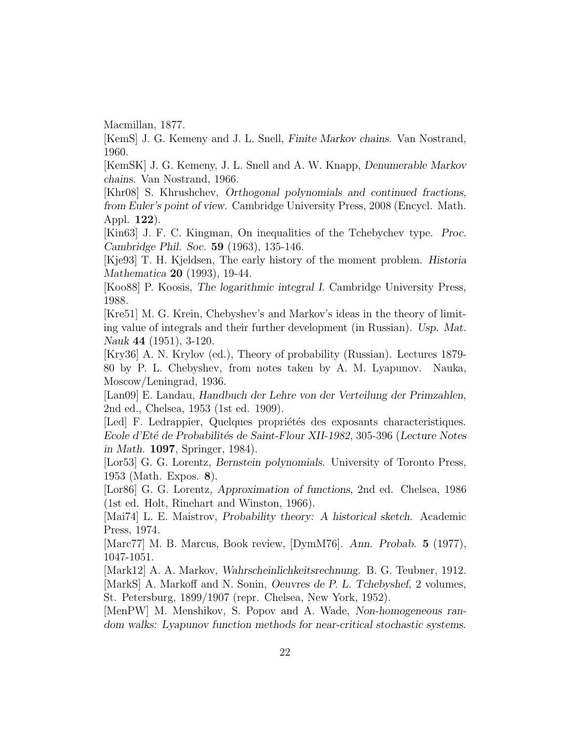Macmillan, 1877.

[KemS] J. G. Kemeny and J. L. Snell, Finite Markov chains. Van Nostrand, 1960.

[KemSK] J. G. Kemeny, J. L. Snell and A. W. Knapp, Denumerable Markov chains. Van Nostrand, 1966.

[Khr08] S. Khrushchev, Orthogonal polynomials and continued fractions, from Euler's point of view. Cambridge University Press, 2008 (Encycl. Math. Appl. 122).

[Kin63] J. F. C. Kingman, On inequalities of the Tchebychev type. Proc. Cambridge Phil. Soc. 59 (1963), 135-146.

[Kje93] T. H. Kjeldsen, The early history of the moment problem. Historia Mathematica 20 (1993), 19-44.

[Koo88] P. Koosis, The logarithmic integral I. Cambridge University Press, 1988.

[Kre51] M. G. Krein, Chebyshev's and Markov's ideas in the theory of limiting value of integrals and their further development (in Russian). Usp. Mat. Nauk 44 (1951), 3-120.

[Kry36] A. N. Krylov (ed.), Theory of probability (Russian). Lectures 1879- 80 by P. L. Chebyshev, from notes taken by A. M. Lyapunov. Nauka, Moscow/Leningrad, 1936.

[Lan09] E. Landau, Handbuch der Lehre von der Verteilung der Primzahlen, 2nd ed., Chelsea, 1953 (1st ed. 1909).

[Led] F. Ledrappier, Quelques propriétés des exposants characteristiques. Ecole d'Eté de Probabilités de Saint-Flour XII-1982, 305-396 (Lecture Notes in Math. 1097, Springer, 1984).

[Lor53] G. G. Lorentz, Bernstein polynomials. University of Toronto Press, 1953 (Math. Expos. 8).

[Lor86] G. G. Lorentz, Approximation of functions, 2nd ed. Chelsea, 1986 (1st ed. Holt, Rinehart and Winston, 1966).

[Mai74] L. E. Maistrov, Probability theory: A historical sketch. Academic Press, 1974.

[Marc77] M. B. Marcus, Book review, [DymM76]. Ann. Probab. 5 (1977), 1047-1051.

[Mark12] A. A. Markov, Wahrscheinlichkeitsrechnung. B. G. Teubner, 1912. [MarkS] A. Markoff and N. Sonin, Oeuvres de P. L. Tchebyshef, 2 volumes, St. Petersburg, 1899/1907 (repr. Chelsea, New York, 1952).

[MenPW] M. Menshikov, S. Popov and A. Wade, Non-homogeneous random walks: Lyapunov function methods for near-critical stochastic systems.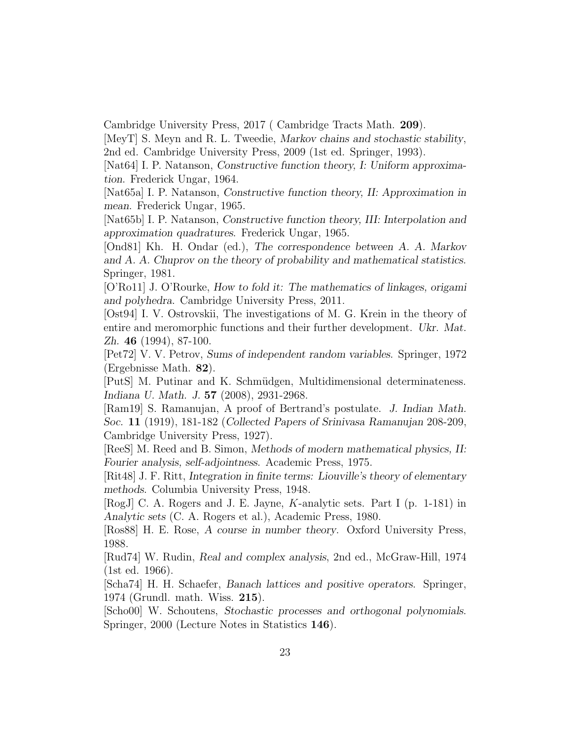Cambridge University Press, 2017 ( Cambridge Tracts Math. 209).

[MeyT] S. Meyn and R. L. Tweedie, Markov chains and stochastic stability, 2nd ed. Cambridge University Press, 2009 (1st ed. Springer, 1993).

[Nat64] I. P. Natanson, Constructive function theory, I: Uniform approximation. Frederick Ungar, 1964.

[Nat65a] I. P. Natanson, Constructive function theory, II: Approximation in mean. Frederick Ungar, 1965.

[Nat65b] I. P. Natanson, Constructive function theory, III: Interpolation and approximation quadratures. Frederick Ungar, 1965.

[Ond81] Kh. H. Ondar (ed.), The correspondence between A. A. Markov and A. A. Chuprov on the theory of probability and mathematical statistics. Springer, 1981.

[O'Ro11] J. O'Rourke, How to fold it: The mathematics of linkages, origami and polyhedra. Cambridge University Press, 2011.

[Ost94] I. V. Ostrovskii, The investigations of M. G. Krein in the theory of entire and meromorphic functions and their further development. Ukr. Mat. Zh. 46 (1994), 87-100.

[Pet72] V. V. Petrov, Sums of independent random variables. Springer, 1972 (Ergebnisse Math. 82).

[PutS] M. Putinar and K. Schmüdgen, Multidimensional determinateness. Indiana U. Math. J. 57 (2008), 2931-2968.

[Ram19] S. Ramanujan, A proof of Bertrand's postulate. J. Indian Math. Soc. 11 (1919), 181-182 (Collected Papers of Srinivasa Ramanujan 208-209, Cambridge University Press, 1927).

[ReeS] M. Reed and B. Simon, Methods of modern mathematical physics, II: Fourier analysis, self-adjointness. Academic Press, 1975.

[Rit48] J. F. Ritt, Integration in finite terms: Liouville's theory of elementary methods. Columbia University Press, 1948.

[RogJ] C. A. Rogers and J. E. Jayne, K-analytic sets. Part I (p. 1-181) in Analytic sets (C. A. Rogers et al.), Academic Press, 1980.

[Ros88] H. E. Rose, A course in number theory. Oxford University Press, 1988.

[Rud74] W. Rudin, Real and complex analysis, 2nd ed., McGraw-Hill, 1974 (1st ed. 1966).

[Scha74] H. H. Schaefer, Banach lattices and positive operators. Springer, 1974 (Grundl. math. Wiss. 215).

[Scho00] W. Schoutens, Stochastic processes and orthogonal polynomials. Springer, 2000 (Lecture Notes in Statistics 146).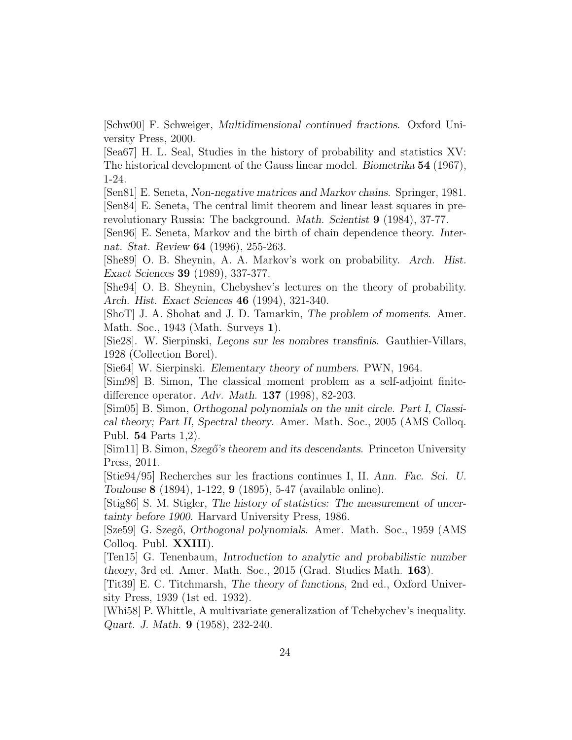[Schw00] F. Schweiger, Multidimensional continued fractions. Oxford University Press, 2000.

[Sea67] H. L. Seal, Studies in the history of probability and statistics XV: The historical development of the Gauss linear model. Biometrika 54 (1967), 1-24.

[Sen81] E. Seneta, Non-negative matrices and Markov chains. Springer, 1981. [Sen84] E. Seneta, The central limit theorem and linear least squares in prerevolutionary Russia: The background. *Math. Scientist* 9 (1984), 37-77.

[Sen96] E. Seneta, Markov and the birth of chain dependence theory. Internat. Stat. Review 64 (1996), 255-263.

[She89] O. B. Sheynin, A. A. Markov's work on probability. Arch. Hist. Exact Sciences 39 (1989), 337-377.

[She94] O. B. Sheynin, Chebyshev's lectures on the theory of probability. Arch. Hist. Exact Sciences 46 (1994), 321-340.

[ShoT] J. A. Shohat and J. D. Tamarkin, The problem of moments. Amer. Math. Soc., 1943 (Math. Surveys 1).

[Sie28]. W. Sierpinski, Leçons sur les nombres transfinis. Gauthier-Villars, 1928 (Collection Borel).

[Sie64] W. Sierpinski. Elementary theory of numbers. PWN, 1964.

[Sim98] B. Simon, The classical moment problem as a self-adjoint finitedifference operator. Adv. Math. 137 (1998), 82-203.

[Sim05] B. Simon, Orthogonal polynomials on the unit circle. Part I, Classical theory; Part II, Spectral theory. Amer. Math. Soc., 2005 (AMS Colloq. Publ. 54 Parts 1,2).

[Sim11] B. Simon, Szegő's theorem and its descendants. Princeton University Press, 2011.

[Stie94/95] Recherches sur les fractions continues I, II. Ann. Fac. Sci. U. Toulouse 8 (1894), 1-122, 9 (1895), 5-47 (available online).

[Stig86] S. M. Stigler, The history of statistics: The measurement of uncertainty before 1900. Harvard University Press, 1986.

[Sze59] G. Szegő, Orthogonal polynomials. Amer. Math. Soc., 1959 (AMS) Colloq. Publ. XXIII).

[Ten15] G. Tenenbaum, Introduction to analytic and probabilistic number theory, 3rd ed. Amer. Math. Soc., 2015 (Grad. Studies Math. 163).

[Tit39] E. C. Titchmarsh, The theory of functions, 2nd ed., Oxford University Press, 1939 (1st ed. 1932).

[Whi58] P. Whittle, A multivariate generalization of Tchebychev's inequality. Quart. J. Math. 9 (1958), 232-240.